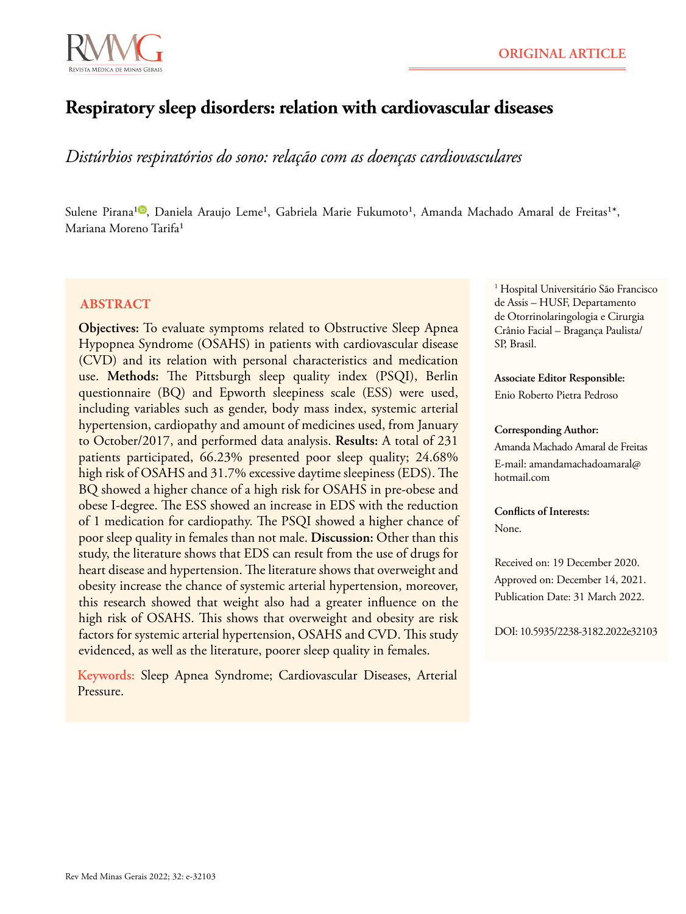

# **Respiratory sleep disorders: relation with cardiovascular diseases**

*Distúrbios respiratórios do sono: relação com as doenças cardiovasculares*

Sulene Pirana<sup>10</sup>[,](https://orcid.org/0000-0002-6325-1275) Daniela Araujo Leme<sup>1</sup>, Gabriela Marie Fukumoto<sup>1</sup>, Amanda Machado Amaral de Freitas<sup>1\*</sup>, Mariana Moreno Tarifa<sup>1</sup>

### **ABSTRACT**

**Objectives:** To evaluate symptoms related to Obstructive Sleep Apnea Hypopnea Syndrome (OSAHS) in patients with cardiovascular disease (CVD) and its relation with personal characteristics and medication use. **Methods:** The Pittsburgh sleep quality index (PSQI), Berlin questionnaire (BQ) and Epworth sleepiness scale (ESS) were used, including variables such as gender, body mass index, systemic arterial hypertension, cardiopathy and amount of medicines used, from January to October/2017, and performed data analysis. **Results:** A total of 231 patients participated, 66.23% presented poor sleep quality; 24.68% high risk of OSAHS and 31.7% excessive daytime sleepiness (EDS). The BQ showed a higher chance of a high risk for OSAHS in pre-obese and obese I-degree. The ESS showed an increase in EDS with the reduction of 1 medication for cardiopathy. The PSQI showed a higher chance of poor sleep quality in females than not male. **Discussion:** Other than this study, the literature shows that EDS can result from the use of drugs for heart disease and hypertension. The literature shows that overweight and obesity increase the chance of systemic arterial hypertension, moreover, this research showed that weight also had a greater influence on the high risk of OSAHS. This shows that overweight and obesity are risk factors for systemic arterial hypertension, OSAHS and CVD. This study evidenced, as well as the literature, poorer sleep quality in females.

**Keywords:** Sleep Apnea Syndrome; Cardiovascular Diseases, Arterial Pressure.

1 Hospital Universitário São Francisco de Assis – HUSF, Departamento de Otorrinolaringologia e Cirurgia Crânio Facial – Bragança Paulista/ SP, Brasil.

**Associate Editor Responsible:** Enio Roberto Pietra Pedroso

#### **Corresponding Author:**

Amanda Machado Amaral de Freitas E-mail: amandamachadoamaral@ hotmail.com

**Conflicts of Interests:** None.

Received on: 19 December 2020. Approved on: December 14, 2021. Publication Date: 31 March 2022.

DOI: 10.5935/2238-3182.2022e32103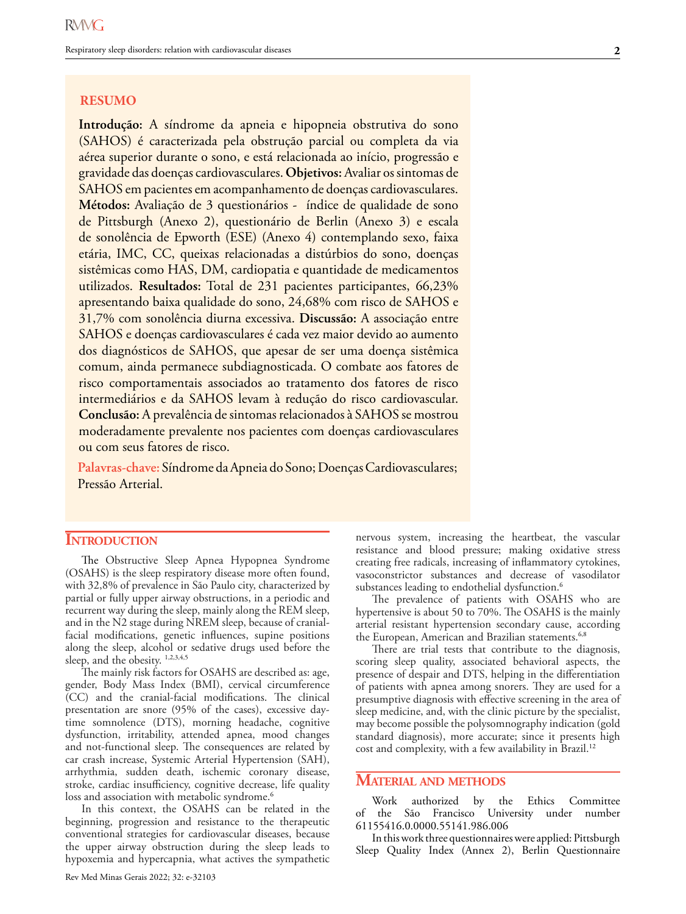#### **RESUMO**

**Introdução:** A síndrome da apneia e hipopneia obstrutiva do sono (SAHOS) é caracterizada pela obstrução parcial ou completa da via aérea superior durante o sono, e está relacionada ao início, progressão e gravidade das doenças cardiovasculares. **Objetivos:** Avaliar os sintomas de SAHOS em pacientes em acompanhamento de doenças cardiovasculares. **Métodos:** Avaliação de 3 questionários - índice de qualidade de sono de Pittsburgh (Anexo 2), questionário de Berlin (Anexo 3) e escala de sonolência de Epworth (ESE) (Anexo 4) contemplando sexo, faixa etária, IMC, CC, queixas relacionadas a distúrbios do sono, doenças sistêmicas como HAS, DM, cardiopatia e quantidade de medicamentos utilizados. **Resultados:** Total de 231 pacientes participantes, 66,23% apresentando baixa qualidade do sono, 24,68% com risco de SAHOS e 31,7% com sonolência diurna excessiva. **Discussão:** A associação entre SAHOS e doenças cardiovasculares é cada vez maior devido ao aumento dos diagnósticos de SAHOS, que apesar de ser uma doença sistêmica comum, ainda permanece subdiagnosticada. O combate aos fatores de risco comportamentais associados ao tratamento dos fatores de risco intermediários e da SAHOS levam à redução do risco cardiovascular. **Conclusão:** A prevalência de sintomas relacionados à SAHOS se mostrou moderadamente prevalente nos pacientes com doenças cardiovasculares ou com seus fatores de risco.

**Palavras-chave:** Síndrome da Apneia do Sono; Doenças Cardiovasculares; Pressão Arterial.

### **INTRODUCTION**

The Obstructive Sleep Apnea Hypopnea Syndrome (OSAHS) is the sleep respiratory disease more often found, with 32,8% of prevalence in São Paulo city, characterized by partial or fully upper airway obstructions, in a periodic and recurrent way during the sleep, mainly along the REM sleep, and in the N2 stage during NREM sleep, because of cranialfacial modifications, genetic influences, supine positions along the sleep, alcohol or sedative drugs used before the sleep, and the obesity. 1,2,3,4,5

The mainly risk factors for OSAHS are described as: age, gender, Body Mass Index (BMI), cervical circumference (CC) and the cranial-facial modifications. The clinical presentation are snore (95% of the cases), excessive daytime somnolence (DTS), morning headache, cognitive dysfunction, irritability, attended apnea, mood changes and not-functional sleep. The consequences are related by car crash increase, Systemic Arterial Hypertension (SAH), arrhythmia, sudden death, ischemic coronary disease, stroke, cardiac insufficiency, cognitive decrease, life quality loss and association with metabolic syndrome.<sup>6</sup>

In this context, the OSAHS can be related in the beginning, progression and resistance to the therapeutic conventional strategies for cardiovascular diseases, because the upper airway obstruction during the sleep leads to hypoxemia and hypercapnia, what actives the sympathetic

Rev Med Minas Gerais 2022; 32: e-32103

nervous system, increasing the heartbeat, the vascular resistance and blood pressure; making oxidative stress creating free radicals, increasing of inflammatory cytokines, vasoconstrictor substances and decrease of vasodilator substances leading to endothelial dysfunction.<sup>6</sup>

The prevalence of patients with OSAHS who are hypertensive is about 50 to 70%. The OSAHS is the mainly arterial resistant hypertension secondary cause, according the European, American and Brazilian statements.<sup>6,8</sup>

There are trial tests that contribute to the diagnosis, scoring sleep quality, associated behavioral aspects, the presence of despair and DTS, helping in the differentiation of patients with apnea among snorers. They are used for a presumptive diagnosis with effective screening in the area of sleep medicine, and, with the clinic picture by the specialist, may become possible the polysomnography indication (gold standard diagnosis), more accurate; since it presents high cost and complexity, with a few availability in Brazil.<sup>12</sup>

#### **Material and methods**

Work authorized by the Ethics Committee of the São Francisco University under number 61155416.0.0000.55141.986.006

In this work three questionnaires were applied: Pittsburgh Sleep Quality Index (Annex 2), Berlin Questionnaire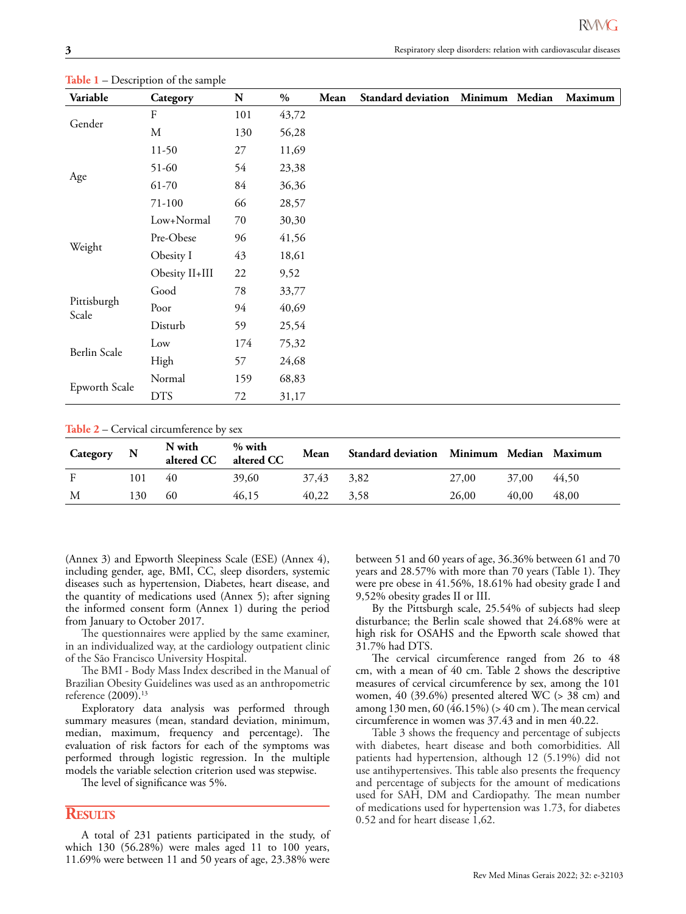| Τ.<br>Variable       | л.<br>Category | N   | $\%$  | Mean | <b>Standard deviation</b> | Minimum | Median | Maximum |
|----------------------|----------------|-----|-------|------|---------------------------|---------|--------|---------|
| Gender               | ${\bf F}$      | 101 | 43,72 |      |                           |         |        |         |
|                      | M              | 130 | 56,28 |      |                           |         |        |         |
| Age                  | $11-50$        | 27  | 11,69 |      |                           |         |        |         |
|                      | 51-60          | 54  | 23,38 |      |                           |         |        |         |
|                      | 61-70          | 84  | 36,36 |      |                           |         |        |         |
|                      | 71-100         | 66  | 28,57 |      |                           |         |        |         |
|                      | Low+Normal     | 70  | 30,30 |      |                           |         |        |         |
|                      | Pre-Obese      | 96  | 41,56 |      |                           |         |        |         |
| Weight               | Obesity I      | 43  | 18,61 |      |                           |         |        |         |
|                      | Obesity II+III | 22  | 9,52  |      |                           |         |        |         |
|                      | Good           | 78  | 33,77 |      |                           |         |        |         |
| Pittisburgh<br>Scale | Poor           | 94  | 40,69 |      |                           |         |        |         |
|                      | Disturb        | 59  | 25,54 |      |                           |         |        |         |
| Berlin Scale         | Low            | 174 | 75,32 |      |                           |         |        |         |
|                      | High           | 57  | 24,68 |      |                           |         |        |         |
|                      | Normal         | 159 | 68,83 |      |                           |         |        |         |
| Epworth Scale        | <b>DTS</b>     | 72  | 31,17 |      |                           |         |        |         |

**Table 1** – Description of the sample

**Table 2** – Cervical circumference by sex

| Category | $\mathbf N$ | N with<br>altered CC | % with<br>altered CC | Mean       | Standard deviation Minimum Median Maximum |       |       |       |
|----------|-------------|----------------------|----------------------|------------|-------------------------------------------|-------|-------|-------|
| F        | 101         | 40                   | 39,60                | 37,43 3,82 |                                           | 27,00 | 37.00 | 44.50 |
| M        | 130         | 60                   | 46.15                | 40.22      | 3,58                                      | 26,00 | 40.00 | 48,00 |

(Annex 3) and Epworth Sleepiness Scale (ESE) (Annex 4), including gender, age, BMI, CC, sleep disorders, systemic diseases such as hypertension, Diabetes, heart disease, and the quantity of medications used (Annex 5); after signing the informed consent form (Annex 1) during the period from January to October 2017.

The questionnaires were applied by the same examiner, in an individualized way, at the cardiology outpatient clinic of the São Francisco University Hospital.

The BMI - Body Mass Index described in the Manual of Brazilian Obesity Guidelines was used as an anthropometric reference (2009).13

Exploratory data analysis was performed through summary measures (mean, standard deviation, minimum, median, maximum, frequency and percentage). The evaluation of risk factors for each of the symptoms was performed through logistic regression. In the multiple models the variable selection criterion used was stepwise.

The level of significance was 5%.

#### **Results**

A total of 231 patients participated in the study, of which 130 (56.28%) were males aged 11 to 100 years, 11.69% were between 11 and 50 years of age, 23.38% were

between 51 and 60 years of age, 36.36% between 61 and 70 years and 28.57% with more than 70 years (Table 1). They were pre obese in 41.56%, 18.61% had obesity grade I and 9,52% obesity grades II or III.

By the Pittsburgh scale, 25.54% of subjects had sleep disturbance; the Berlin scale showed that 24.68% were at high risk for OSAHS and the Epworth scale showed that 31.7% had DTS.

The cervical circumference ranged from 26 to 48 cm, with a mean of 40 cm. Table 2 shows the descriptive measures of cervical circumference by sex, among the 101 women, 40 (39.6%) presented altered WC (> 38 cm) and among 130 men, 60 (46.15%) (> 40 cm ). The mean cervical circumference in women was 37.43 and in men 40.22.

Table 3 shows the frequency and percentage of subjects with diabetes, heart disease and both comorbidities. All patients had hypertension, although 12 (5.19%) did not use antihypertensives. This table also presents the frequency and percentage of subjects for the amount of medications used for SAH, DM and Cardiopathy. The mean number of medications used for hypertension was 1.73, for diabetes 0.52 and for heart disease 1,62.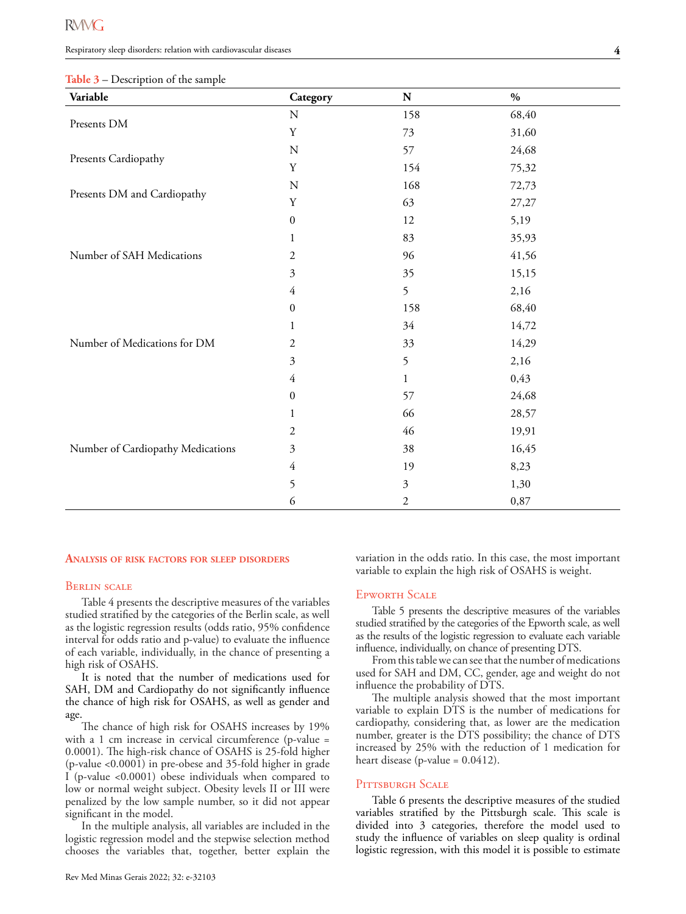Respiratory sleep disorders: relation with cardiovascular diseases

|  |  |  | <b>Table 3</b> – Description of the sample |  |
|--|--|--|--------------------------------------------|--|
|--|--|--|--------------------------------------------|--|

| Variable                          | Category                | ${\bf N}$      | $\frac{0}{0}$ |
|-----------------------------------|-------------------------|----------------|---------------|
|                                   | ${\bf N}$               | 158            | 68,40         |
| Presents DM                       | $\mathbf Y$             | 73             | 31,60         |
| Presents Cardiopathy              | ${\bf N}$               | 57             | 24,68         |
|                                   | Y                       | 154            | 75,32         |
| Presents DM and Cardiopathy       | ${\bf N}$               | 168            | 72,73         |
|                                   | $\mathbf Y$             | 63             | 27,27         |
|                                   | $\boldsymbol{0}$        | 12             | 5,19          |
|                                   | $\mathbf{1}$            | 83             | 35,93         |
| Number of SAH Medications         | $\mathfrak{2}$          | 96             | 41,56         |
|                                   | 3                       | 35             | 15,15         |
|                                   | $\overline{4}$          | 5              | 2,16          |
|                                   | $\boldsymbol{0}$        | 158            | 68,40         |
|                                   | 1                       | 34             | 14,72         |
| Number of Medications for DM      | $\mathfrak{2}$          | 33             | 14,29         |
|                                   | $\overline{\mathbf{3}}$ | 5              | 2,16          |
|                                   | 4                       | 1              | 0,43          |
|                                   | $\boldsymbol{0}$        | 57             | 24,68         |
|                                   | 1                       | 66             | 28,57         |
|                                   | 2                       | 46             | 19,91         |
| Number of Cardiopathy Medications | 3                       | 38             | 16,45         |
|                                   | $\overline{4}$          | 19             | 8,23          |
|                                   | 5                       | $\mathfrak{Z}$ | 1,30          |
|                                   | 6                       | 2              | 0,87          |

#### **Analysis of risk factors for sleep disorders**

#### Berlin scale

Table 4 presents the descriptive measures of the variables studied stratified by the categories of the Berlin scale, as well as the logistic regression results (odds ratio, 95% confidence interval for odds ratio and p-value) to evaluate the influence of each variable, individually, in the chance of presenting a high risk of OSAHS.

It is noted that the number of medications used for SAH, DM and Cardiopathy do not significantly influence the chance of high risk for OSAHS, as well as gender and age.

The chance of high risk for OSAHS increases by 19% with a 1 cm increase in cervical circumference (p-value = 0.0001). The high-risk chance of OSAHS is 25-fold higher (p-value <0.0001) in pre-obese and 35-fold higher in grade I (p-value <0.0001) obese individuals when compared to low or normal weight subject. Obesity levels II or III were penalized by the low sample number, so it did not appear significant in the model.

In the multiple analysis, all variables are included in the logistic regression model and the stepwise selection method chooses the variables that, together, better explain the variation in the odds ratio. In this case, the most important variable to explain the high risk of OSAHS is weight.

#### Epworth Scale

Table 5 presents the descriptive measures of the variables studied stratified by the categories of the Epworth scale, as well as the results of the logistic regression to evaluate each variable influence, individually, on chance of presenting DTS.

From this table we can see that the number of medications used for SAH and DM, CC, gender, age and weight do not influence the probability of DTS.

The multiple analysis showed that the most important variable to explain DTS is the number of medications for cardiopathy, considering that, as lower are the medication number, greater is the DTS possibility; the chance of DTS increased by 25% with the reduction of 1 medication for heart disease (p-value =  $0.0412$ ).

#### PITTSBURGH SCALE

Table 6 presents the descriptive measures of the studied variables stratified by the Pittsburgh scale. This scale is divided into 3 categories, therefore the model used to study the influence of variables on sleep quality is ordinal logistic regression, with this model it is possible to estimate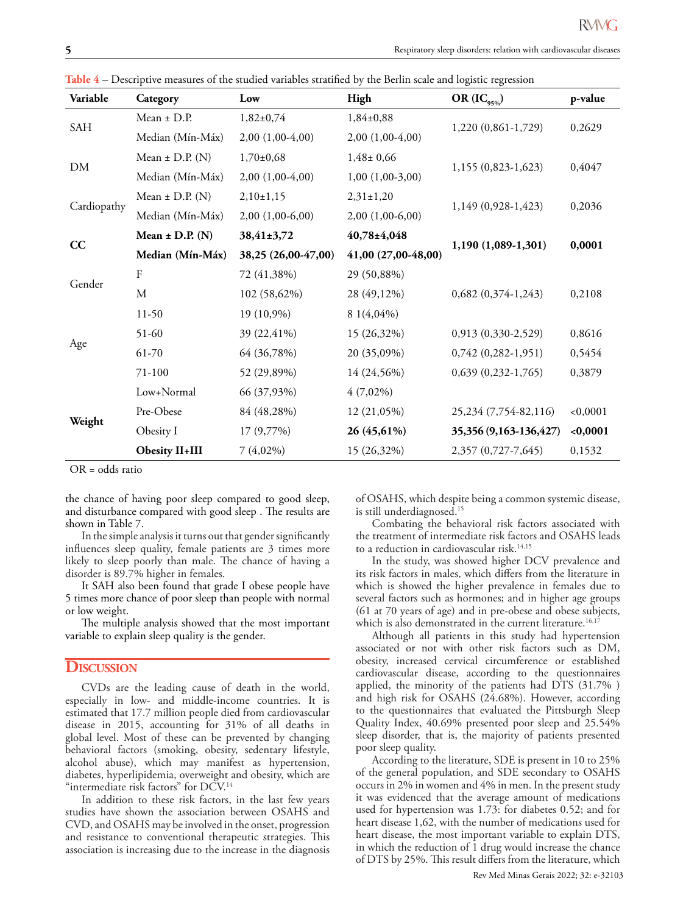| Variable    | Category                                                   | Low                 | High                | OR $(IC_{95\%})$        | p-value  |
|-------------|------------------------------------------------------------|---------------------|---------------------|-------------------------|----------|
|             | Mean $\pm$ D.P.                                            | $1,82\pm0,74$       | $1,84\pm0,88$       |                         |          |
| SAH         | Median (Mín-Máx)                                           | $2,00(1,00-4,00)$   | $2,00(1,00-4,00)$   | 1,220 (0,861-1,729)     | 0,2629   |
|             | Mean $\pm$ D.P. (N)                                        | $1,70\pm0,68$       | $1,48 \pm 0,66$     |                         |          |
| DM          | Median (Mín-Máx)                                           | $2,00(1,00-4,00)$   | $1,00(1,00-3,00)$   | 1,155 (0,823-1,623)     | 0,4047   |
| Cardiopathy | Mean $\pm$ D.P. (N)                                        | $2,10\pm1,15$       | $2,31 \pm 1,20$     |                         |          |
|             | Median (Mín-Máx)<br>$2,00(1,00-6,00)$<br>$2,00(1,00-6,00)$ |                     |                     | 1,149 (0,928-1,423)     | 0,2036   |
|             | Mean $\pm$ D.P. (N)<br>38,41±3,72                          |                     | 40,78±4,048         |                         |          |
| CC          | Median (Mín-Máx)                                           | 38,25 (26,00-47,00) | 41,00 (27,00-48,00) | 1,190 (1,089-1,301)     | 0,0001   |
|             | F                                                          | 72 (41,38%)         | 29 (50,88%)         |                         |          |
| Gender      | M                                                          | 102 (58,62%)        | 28 (49,12%)         | $0,682$ $(0,374-1,243)$ | 0,2108   |
|             | $11-50$                                                    | 19 (10,9%)          | 8 1 (4,04%)         |                         |          |
|             | 51-60                                                      | 39 (22,41%)         | 15 (26,32%)         | 0,913 (0,330-2,529)     | 0,8616   |
| Age         | 61-70                                                      | 64 (36,78%)         | 20 (35,09%)         | $0,742$ $(0,282-1,951)$ | 0,5454   |
|             | 71-100                                                     | 52 (29,89%)         | 14 (24,56%)         | $0,639$ $(0,232-1,765)$ | 0,3879   |
|             | Low+Normal                                                 | 66 (37,93%)         | $4(7,02\%)$         |                         |          |
|             | Pre-Obese                                                  | 84 (48,28%)         | 12 (21,05%)         | 25,234 (7,754-82,116)   | < 0,0001 |
| Weight      | Obesity I                                                  | 17 (9,77%)          | 26 (45,61%)         | 35,356 (9,163-136,427)  | $0,0001$ |
|             | <b>Obesity II+III</b>                                      | $7(4,02\%)$         | 15 (26,32%)         | 2,357 (0,727-7,645)     | 0,1532   |

**Table 4** – Descriptive measures of the studied variables stratified by the Berlin scale and logistic regression

OR = odds ratio

the chance of having poor sleep compared to good sleep, and disturbance compared with good sleep . The results are shown in Table 7.

In the simple analysis it turns out that gender significantly influences sleep quality, female patients are 3 times more likely to sleep poorly than male. The chance of having a disorder is 89.7% higher in females.

It SAH also been found that grade I obese people have 5 times more chance of poor sleep than people with normal or low weight.

The multiple analysis showed that the most important variable to explain sleep quality is the gender.

#### **Discussion**

CVDs are the leading cause of death in the world, especially in low- and middle-income countries. It is estimated that 17.7 million people died from cardiovascular disease in 2015, accounting for 31% of all deaths in global level. Most of these can be prevented by changing behavioral factors (smoking, obesity, sedentary lifestyle, alcohol abuse), which may manifest as hypertension, diabetes, hyperlipidemia, overweight and obesity, which are "intermediate risk factors" for DCV.<sup>14</sup>

In addition to these risk factors, in the last few years studies have shown the association between OSAHS and CVD, and OSAHS may be involved in the onset, progression and resistance to conventional therapeutic strategies. This association is increasing due to the increase in the diagnosis of OSAHS, which despite being a common systemic disease, is still underdiagnosed.<sup>15</sup>

Combating the behavioral risk factors associated with the treatment of intermediate risk factors and OSAHS leads to a reduction in cardiovascular risk.<sup>14,15</sup>

In the study, was showed higher DCV prevalence and its risk factors in males, which differs from the literature in which is showed the higher prevalence in females due to several factors such as hormones; and in higher age groups (61 at 70 years of age) and in pre-obese and obese subjects, which is also demonstrated in the current literature.<sup>16,17</sup>

Although all patients in this study had hypertension associated or not with other risk factors such as DM, obesity, increased cervical circumference or established cardiovascular disease, according to the questionnaires applied, the minority of the patients had DTS (31.7% ) and high risk for OSAHS (24.68%). However, according to the questionnaires that evaluated the Pittsburgh Sleep Quality Index, 40.69% presented poor sleep and 25.54% sleep disorder, that is, the majority of patients presented poor sleep quality.

According to the literature, SDE is present in 10 to 25% of the general population, and SDE secondary to OSAHS occurs in 2% in women and 4% in men. In the present study it was evidenced that the average amount of medications used for hypertension was 1.73: for diabetes 0.52; and for heart disease 1,62, with the number of medications used for heart disease, the most important variable to explain DTS, in which the reduction of 1 drug would increase the chance of DTS by 25%. This result differs from the literature, which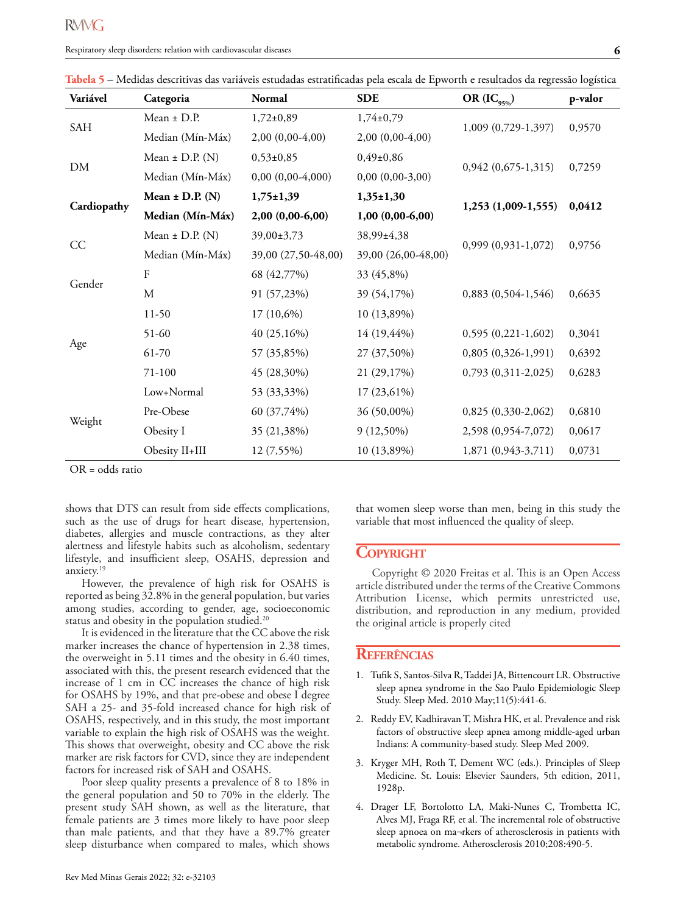| Variável    | Categoria           | <b>Normal</b>       | <b>SDE</b>          | OR $(IC_{95\%})$        | p-valor                                                                                                                                                                                                     |
|-------------|---------------------|---------------------|---------------------|-------------------------|-------------------------------------------------------------------------------------------------------------------------------------------------------------------------------------------------------------|
| SAH         | Mean $\pm$ D.P.     | $1,72+0,89$         | $1,74\pm0,79$       |                         |                                                                                                                                                                                                             |
|             | Median (Mín-Máx)    | $2,00(0,00-4,00)$   | $2,00(0,00-4,00)$   |                         |                                                                                                                                                                                                             |
| DM          | Mean $\pm$ D.P. (N) | $0,53\pm0,85$       | $0,49\pm0,86$       |                         |                                                                                                                                                                                                             |
|             | Median (Mín-Máx)    | $0,00(0,00-4,000)$  | $0,00(0,00-3,00)$   |                         |                                                                                                                                                                                                             |
|             | Mean $\pm$ D.P. (N) | $1,75 \pm 1,39$     | $1,35+1,30$         |                         |                                                                                                                                                                                                             |
| Cardiopathy | Median (Mín-Máx)    | $2,00(0,00-6,00)$   | $1,00(0,00-6,00)$   |                         |                                                                                                                                                                                                             |
|             | Mean $\pm$ D.P. (N) | 39,00±3,73          | 38,99±4,38          |                         |                                                                                                                                                                                                             |
| CC          | Median (Mín-Máx)    | 39,00 (27,50-48,00) | 39,00 (26,00-48,00) |                         | 0,9570<br>1,009 (0,729-1,397)<br>$0,942(0,675-1,315)$<br>0,7259<br>1,253 (1,009-1,555)<br>0,0412<br>$0,999$ $(0,931-1,072)$<br>0,9756<br>0,6635<br>0,3041<br>0,6392<br>0,6283<br>0,6810<br>0,0617<br>0,0731 |
|             | ${\bf F}$           | 68 (42,77%)         | 33 (45,8%)          |                         |                                                                                                                                                                                                             |
| Gender      | M                   | 91 (57,23%)         | 39 (54,17%)         | $0,883$ $(0,504-1,546)$ |                                                                                                                                                                                                             |
|             | $11-50$             | $17(10,6\%)$        | 10 (13,89%)         |                         |                                                                                                                                                                                                             |
|             | 51-60               | 40 (25,16%)         | 14 (19,44%)         | $0,595(0,221-1,602)$    |                                                                                                                                                                                                             |
| Age         | 61-70               | 57 (35,85%)         | 27 (37,50%)         | $0,805(0,326-1,991)$    |                                                                                                                                                                                                             |
|             | 71-100              | 45 (28,30%)         | 21 (29,17%)         | $0,793(0,311-2,025)$    |                                                                                                                                                                                                             |
|             | Low+Normal          | 53 (33,33%)         | 17 (23,61%)         |                         |                                                                                                                                                                                                             |
|             | Pre-Obese           | 60 (37,74%)         | 36 (50,00%)         | $0,825(0,330-2,062)$    |                                                                                                                                                                                                             |
| Weight      | Obesity I           | 35 (21,38%)         | $9(12,50\%)$        | 2,598 (0,954-7,072)     |                                                                                                                                                                                                             |
|             | Obesity II+III      | 12 (7,55%)          | 10 (13,89%)         | 1,871 (0,943-3,711)     |                                                                                                                                                                                                             |

**Tabela 5** – Medidas descritivas das variáveis estudadas estratificadas pela escala de Epworth e resultados da regressão logística

OR = odds ratio

shows that DTS can result from side effects complications, such as the use of drugs for heart disease, hypertension, diabetes, allergies and muscle contractions, as they alter alertness and lifestyle habits such as alcoholism, sedentary lifestyle, and insufficient sleep, OSAHS, depression and anxiety.<sup>19</sup>

However, the prevalence of high risk for OSAHS is reported as being 32.8% in the general population, but varies among studies, according to gender, age, socioeconomic status and obesity in the population studied.<sup>20</sup>

It is evidenced in the literature that the CC above the risk marker increases the chance of hypertension in 2.38 times, the overweight in 5.11 times and the obesity in 6.40 times, associated with this, the present research evidenced that the increase of 1 cm in CC increases the chance of high risk for OSAHS by 19%, and that pre-obese and obese I degree SAH a 25- and 35-fold increased chance for high risk of OSAHS, respectively, and in this study, the most important variable to explain the high risk of OSAHS was the weight. This shows that overweight, obesity and CC above the risk marker are risk factors for CVD, since they are independent factors for increased risk of SAH and OSAHS.

Poor sleep quality presents a prevalence of 8 to 18% in the general population and 50 to 70% in the elderly. The present study SAH shown, as well as the literature, that female patients are 3 times more likely to have poor sleep than male patients, and that they have a 89.7% greater sleep disturbance when compared to males, which shows

that women sleep worse than men, being in this study the variable that most influenced the quality of sleep.

### **COPYRIGHT**

Copyright © 2020 Freitas et al. This is an Open Access article distributed under the terms of the Creative Commons Attribution License, which permits unrestricted use, distribution, and reproduction in any medium, provided the original article is properly cited

#### **Referências**

- 1. Tufik S, Santos-Silva R, Taddei JA, Bittencourt LR. Obstructive sleep apnea syndrome in the Sao Paulo Epidemiologic Sleep Study. Sleep Med. 2010 May;11(5):441-6.
- 2. Reddy EV, Kadhiravan T, Mishra HK, et al. Prevalence and risk factors of obstructive sleep apnea among middle-aged urban Indians: A community-based study. Sleep Med 2009.
- 3. Kryger MH, Roth T, Dement WC (eds.). Principles of Sleep Medicine. St. Louis: Elsevier Saunders, 5th edition, 2011, 1928p.
- 4. Drager LF, Bortolotto LA, Maki-Nunes C, Trombetta IC, Alves MJ, Fraga RF, et al. The incremental role of obstructive sleep apnoea on ma¬rkers of atherosclerosis in patients with metabolic syndrome. Atherosclerosis 2010;208:490-5.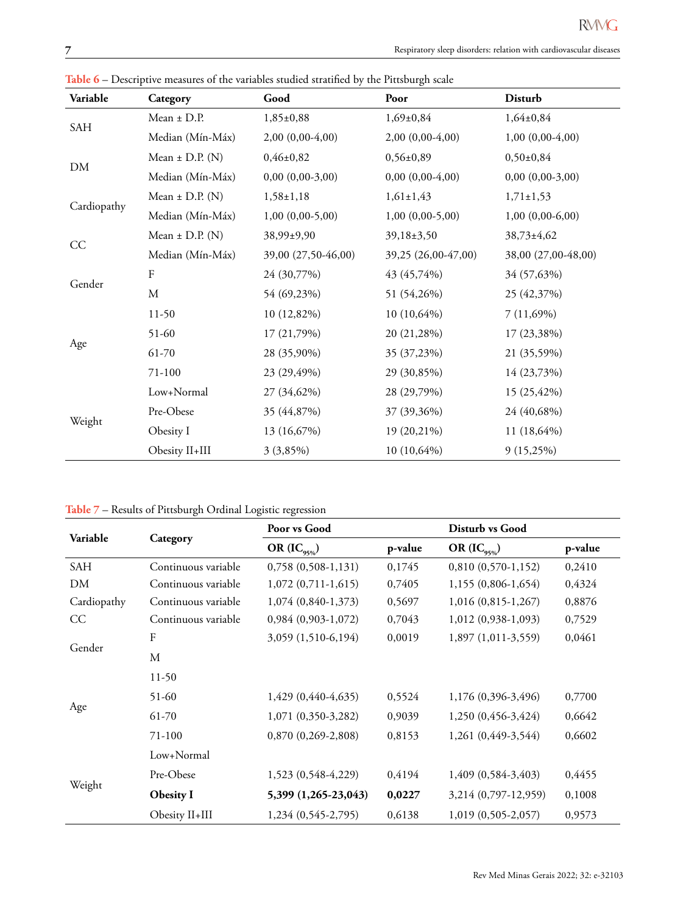| Variable    | Category            | Good                                                                                                                                                                                                                                               | Poor                                                                                                                                                                        | Disturb             |
|-------------|---------------------|----------------------------------------------------------------------------------------------------------------------------------------------------------------------------------------------------------------------------------------------------|-----------------------------------------------------------------------------------------------------------------------------------------------------------------------------|---------------------|
| SAH         | $Mean \pm D.P.$     | $1,85\pm0,88$                                                                                                                                                                                                                                      | $1,69+0,84$                                                                                                                                                                 | $1,64\pm0,84$       |
|             | Median (Mín-Máx)    | $2,00(0,00-4,00)$                                                                                                                                                                                                                                  | $2,00(0,00-4,00)$                                                                                                                                                           | $1,00(0,00-4,00)$   |
| DM          | Mean $\pm$ D.P. (N) | $0,46\pm0,82$                                                                                                                                                                                                                                      | $0,56\pm0,89$                                                                                                                                                               | $0,50{\pm}0,84$     |
|             | Median (Mín-Máx)    | $0,00(0,00-3,00)$<br>$1,58\pm1,18$<br>$1,00(0,00-5,00)$<br>38,99±9,90<br>39,00 (27,50-46,00)<br>24 (30,77%)<br>54 (69,23%)<br>10 (12,82%)<br>17 (21,79%)<br>28 (35,90%)<br>23 (29,49%)<br>27 (34,62%)<br>35 (44,87%)<br>13 (16,67%)<br>$3(3,85\%)$ | $0,00(0,00-4,00)$                                                                                                                                                           | $0,00(0,00-3,00)$   |
| Cardiopathy | Mean $\pm$ D.P. (N) |                                                                                                                                                                                                                                                    | $1,61\pm1,43$                                                                                                                                                               | $1,71\pm1,53$       |
|             | Median (Mín-Máx)    |                                                                                                                                                                                                                                                    | $1,00(0,00-5,00)$                                                                                                                                                           | $1,00(0,00-6,00)$   |
|             | Mean $\pm$ D.P. (N) |                                                                                                                                                                                                                                                    | 39,18±3,50                                                                                                                                                                  | 38,73±4,62          |
| CC          | Median (Mín-Máx)    |                                                                                                                                                                                                                                                    | 39,25 (26,00-47,00)<br>43 (45,74%)<br>51 (54,26%)<br>$10(10,64\%)$<br>20 (21,28%)<br>35 (37,23%)<br>29 (30,85%)<br>28 (29,79%)<br>37 (39,36%)<br>19 (20,21%)<br>10 (10,64%) | 38,00 (27,00-48,00) |
|             | F                   |                                                                                                                                                                                                                                                    |                                                                                                                                                                             | 34 (57,63%)         |
| Gender      | $\mathbf M$         |                                                                                                                                                                                                                                                    |                                                                                                                                                                             | 25 (42,37%)         |
|             | $11-50$             |                                                                                                                                                                                                                                                    |                                                                                                                                                                             | 7(11,69%)           |
|             | 51-60               |                                                                                                                                                                                                                                                    |                                                                                                                                                                             | 17 (23,38%)         |
| Age         | 61-70               |                                                                                                                                                                                                                                                    |                                                                                                                                                                             | 21 (35,59%)         |
|             | 71-100              |                                                                                                                                                                                                                                                    |                                                                                                                                                                             | 14 (23,73%)         |
|             | Low+Normal          |                                                                                                                                                                                                                                                    |                                                                                                                                                                             | 15 (25,42%)         |
|             | Pre-Obese           |                                                                                                                                                                                                                                                    |                                                                                                                                                                             | 24 (40,68%)         |
| Weight      | Obesity I           |                                                                                                                                                                                                                                                    |                                                                                                                                                                             | 11 (18,64%)         |
|             | Obesity II+III      |                                                                                                                                                                                                                                                    |                                                                                                                                                                             | $9(15,25\%)$        |

**Table 6** – Descriptive measures of the variables studied stratified by the Pittsburgh scale

**Table 7** – Results of Pittsburgh Ordinal Logistic regression

| Variable    |                     | Poor vs Good            |         | Disturb vs Good      |         |  |
|-------------|---------------------|-------------------------|---------|----------------------|---------|--|
|             | Category            | OR $(IC_{95\%})$        | p-value | OR $(IC_{95\%})$     | p-value |  |
| SAH         | Continuous variable | $0,758$ $(0,508-1,131)$ | 0,1745  | $0,810(0,570-1,152)$ | 0,2410  |  |
| DM          | Continuous variable | $1,072$ (0,711-1,615)   | 0,7405  | 1,155 (0,806-1,654)  | 0,4324  |  |
| Cardiopathy | Continuous variable | 1,074 (0,840-1,373)     | 0,5697  | 1,016 (0,815-1,267)  | 0,8876  |  |
| CC          | Continuous variable | $0,984(0,903-1,072)$    | 0,7043  | 1,012 (0,938-1,093)  | 0,7529  |  |
| Gender      | $\boldsymbol{F}$    | 3,059 (1,510-6,194)     | 0,0019  | 1,897 (1,011-3,559)  | 0,0461  |  |
|             | M                   |                         |         |                      |         |  |
|             | $11-50$             |                         |         |                      |         |  |
|             | 51-60               | 1,429 (0,440-4,635)     | 0,5524  | 1,176 (0,396-3,496)  | 0,7700  |  |
| Age         | 61-70               | 1,071 (0,350-3,282)     | 0,9039  | 1,250 (0,456-3,424)  | 0,6642  |  |
|             | 71-100              | $0,870(0,269-2,808)$    | 0,8153  | 1,261 (0,449-3,544)  | 0,6602  |  |
|             | Low+Normal          |                         |         |                      |         |  |
|             | Pre-Obese           | 1,523 (0,548-4,229)     | 0,4194  | 1,409 (0,584-3,403)  | 0,4455  |  |
| Weight      | <b>Obesity I</b>    | 5,399 (1,265-23,043)    | 0,0227  | 3,214 (0,797-12,959) | 0,1008  |  |
|             | Obesity II+III      | 1,234 (0,545-2,795)     | 0,6138  | 1,019 (0,505-2,057)  | 0,9573  |  |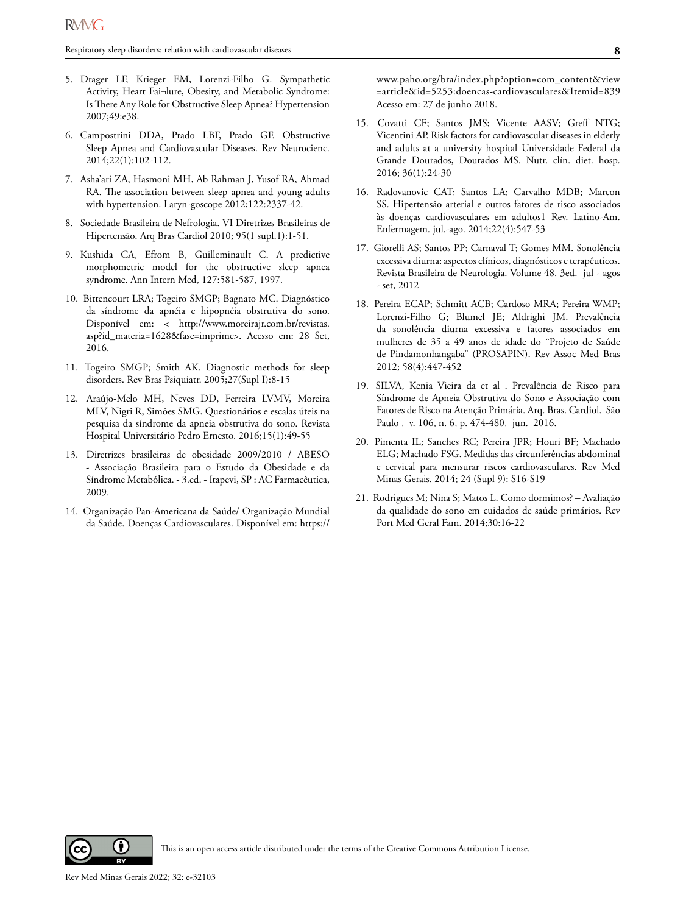- 5. Drager LF, Krieger EM, Lorenzi-Filho G. Sympathetic Activity, Heart Fai¬lure, Obesity, and Metabolic Syndrome: Is There Any Role for Obstructive Sleep Apnea? Hypertension 2007;49:e38.
- 6. Campostrini DDA, Prado LBF, Prado GF. Obstructive Sleep Apnea and Cardiovascular Diseases. Rev Neurocienc. 2014;22(1):102-112.
- 7. Asha'ari ZA, Hasmoni MH, Ab Rahman J, Yusof RA, Ahmad RA. The association between sleep apnea and young adults with hypertension. Laryn-goscope 2012;122:2337-42.
- 8. Sociedade Brasileira de Nefrologia. VI Diretrizes Brasileiras de Hipertensão. Arq Bras Cardiol 2010; 95(1 supl.1):1-51.
- 9. Kushida CA, Efrom B, Guilleminault C. A predictive morphometric model for the obstructive sleep apnea syndrome. Ann Intern Med, 127:581-587, 1997.
- 10. Bittencourt LRA; Togeiro SMGP; Bagnato MC. Diagnóstico da síndrome da apnéia e hipopnéia obstrutiva do sono. Disponível em: < http://www.moreirajr.com.br/revistas. asp?id\_materia=1628&fase=imprime>. Acesso em: 28 Set, 2016.
- 11. Togeiro SMGP; Smith AK. Diagnostic methods for sleep disorders. Rev Bras Psiquiatr. 2005;27(Supl I):8-15
- 12. Araújo-Melo MH, Neves DD, Ferreira LVMV, Moreira MLV, Nigri R, Simões SMG. Questionários e escalas úteis na pesquisa da síndrome da apneia obstrutiva do sono. Revista Hospital Universitário Pedro Ernesto. 2016;15(1):49-55
- 13. Diretrizes brasileiras de obesidade 2009/2010 / ABESO - Associação Brasileira para o Estudo da Obesidade e da Síndrome Metabólica. - 3.ed. - Itapevi, SP : AC Farmacêutica, 2009.
- 14. Organização Pan-Americana da Saúde/ Organização Mundial da Saúde. Doenças Cardiovasculares. Disponível em: https://

www.paho.org/bra/index.php?option=com\_content&view =article&id=5253:doencas-cardiovasculares&Itemid=839 Acesso em: 27 de junho 2018.

- 15. Covatti CF; Santos JMS; Vicente AASV; Greff NTG; Vicentini AP. Risk factors for cardiovascular diseases in elderly and adults at a university hospital Universidade Federal da Grande Dourados, Dourados MS. Nutr. clín. diet. hosp. 2016; 36(1):24-30
- 16. Radovanovic CAT; Santos LA; Carvalho MDB; Marcon SS. Hipertensão arterial e outros fatores de risco associados às doenças cardiovasculares em adultos1 Rev. Latino-Am. Enfermagem. jul.-ago. 2014;22(4):547-53
- 17. Giorelli AS; Santos PP; Carnaval T; Gomes MM. Sonolência excessiva diurna: aspectos clínicos, diagnósticos e terapêuticos. Revista Brasileira de Neurologia. Volume 48. 3ed. jul - agos - set, 2012
- 18. Pereira ECAP; Schmitt ACB; Cardoso MRA; Pereira WMP; Lorenzi-Filho G; Blumel JE; Aldrighi JM. Prevalência da sonolência diurna excessiva e fatores associados em mulheres de 35 a 49 anos de idade do "Projeto de Saúde de Pindamonhangaba" (PROSAPIN). Rev Assoc Med Bras 2012; 58(4):447-452
- 19. SILVA, Kenia Vieira da et al . Prevalência de Risco para Síndrome de Apneia Obstrutiva do Sono e Associação com Fatores de Risco na Atenção Primária. Arq. Bras. Cardiol. São Paulo , v. 106, n. 6, p. 474-480, jun. 2016.
- 20. Pimenta IL; Sanches RC; Pereira JPR; Houri BF; Machado ELG; Machado FSG. Medidas das circunferências abdominal e cervical para mensurar riscos cardiovasculares. Rev Med Minas Gerais. 2014; 24 (Supl 9): S16-S19
- 21. Rodrigues M; Nina S; Matos L. Como dormimos? Avaliação da qualidade do sono em cuidados de saúde primários. Rev Port Med Geral Fam. 2014;30:16-22

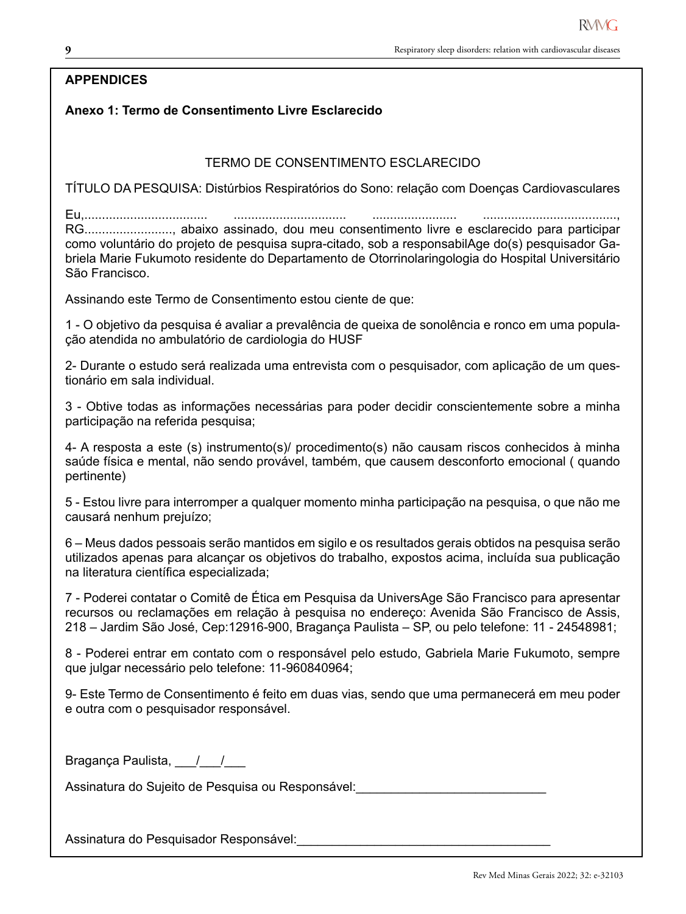# **APPENDICES**

# **Anexo 1: Termo de Consentimento Livre Esclarecido**

# TERMO DE CONSENTIMENTO ESCLARECIDO

TÍTULO DA PESQUISA: Distúrbios Respiratórios do Sono: relação com Doenças Cardiovasculares

Eu,................................... ................................ ........................ ......................................, RG........................., abaixo assinado, dou meu consentimento livre e esclarecido para participar como voluntário do projeto de pesquisa supra-citado, sob a responsabilAge do(s) pesquisador Gabriela Marie Fukumoto residente do Departamento de Otorrinolaringologia do Hospital Universitário São Francisco.

Assinando este Termo de Consentimento estou ciente de que:

1 - O objetivo da pesquisa é avaliar a prevalência de queixa de sonolência e ronco em uma população atendida no ambulatório de cardiologia do HUSF

2- Durante o estudo será realizada uma entrevista com o pesquisador, com aplicação de um questionário em sala individual.

3 - Obtive todas as informações necessárias para poder decidir conscientemente sobre a minha participação na referida pesquisa;

4- A resposta a este (s) instrumento(s)/ procedimento(s) não causam riscos conhecidos à minha saúde física e mental, não sendo provável, também, que causem desconforto emocional ( quando pertinente)

5 - Estou livre para interromper a qualquer momento minha participação na pesquisa, o que não me causará nenhum prejuízo;

6 – Meus dados pessoais serão mantidos em sigilo e os resultados gerais obtidos na pesquisa serão utilizados apenas para alcançar os objetivos do trabalho, expostos acima, incluída sua publicação na literatura científica especializada;

7 - Poderei contatar o Comitê de Ética em Pesquisa da UniversAge São Francisco para apresentar recursos ou reclamações em relação à pesquisa no endereço: Avenida São Francisco de Assis, 218 – Jardim São José, Cep:12916-900, Bragança Paulista – SP, ou pelo telefone: 11 - 24548981;

8 - Poderei entrar em contato com o responsável pelo estudo, Gabriela Marie Fukumoto, sempre que julgar necessário pelo telefone: 11-960840964;

9- Este Termo de Consentimento é feito em duas vias, sendo que uma permanecerá em meu poder e outra com o pesquisador responsável.

Bragança Paulista, 11

Assinatura do Sujeito de Pesquisa ou Responsável:

Assinatura do Pesquisador Responsável: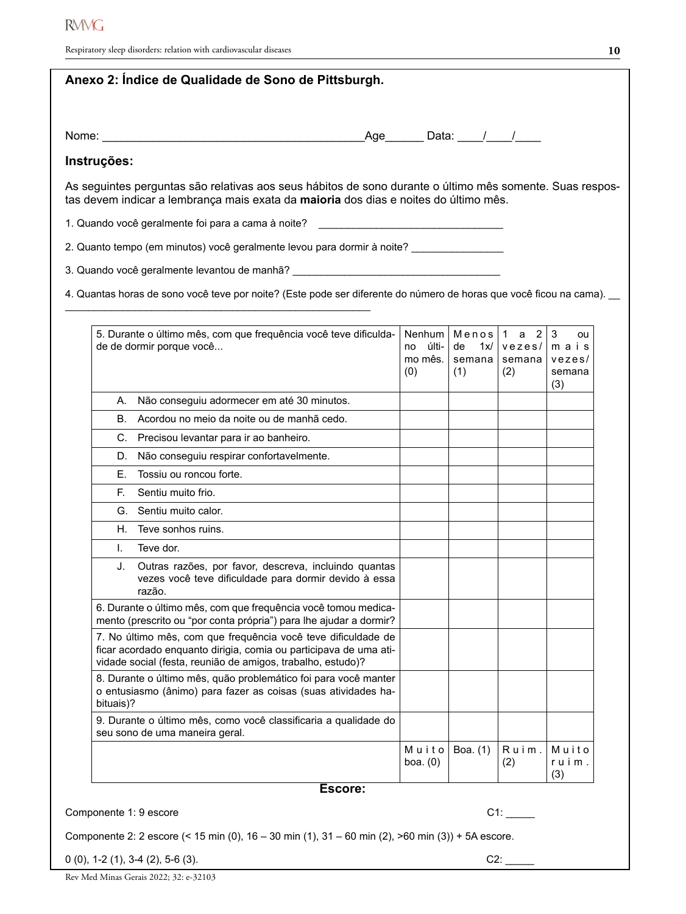| Anexo 2: Índice de Qualidade de Sono de Pittsburgh.                                                                                                                                               |                                         |                             |                                                      |                          |
|---------------------------------------------------------------------------------------------------------------------------------------------------------------------------------------------------|-----------------------------------------|-----------------------------|------------------------------------------------------|--------------------------|
|                                                                                                                                                                                                   | Age________ Data: _____/____/_____      |                             |                                                      |                          |
| Instruções:                                                                                                                                                                                       |                                         |                             |                                                      |                          |
| As seguintes perguntas são relativas aos seus hábitos de sono durante o último mês somente. Suas respos-<br>tas devem indicar a lembrança mais exata da maioria dos dias e noites do último mês.  |                                         |                             |                                                      |                          |
| 1. Quando você geralmente foi para a cama à noite?                                                                                                                                                |                                         |                             |                                                      |                          |
| 2. Quanto tempo (em minutos) você geralmente levou para dormir à noite? ______________                                                                                                            |                                         |                             |                                                      |                          |
| 3. Quando você geralmente levantou de manhã? [1999] [1999] [1999] [1999] [1999] [1999] [1999] [1999] [1999] [1                                                                                    |                                         |                             |                                                      |                          |
| 4. Quantas horas de sono você teve por noite? (Este pode ser diferente do número de horas que você ficou na cama).                                                                                |                                         |                             |                                                      |                          |
|                                                                                                                                                                                                   |                                         |                             |                                                      |                          |
| 5. Durante o último mês, com que frequência você teve dificulda-<br>de de dormir porque você                                                                                                      | Nenhum<br>últi-<br>no<br>mo mês.<br>(0) | de<br>1x/1<br>semana<br>(1) | Menos $1$ a 2<br>vezes/mai s<br>semana vezes/<br>(2) | 3<br>ou<br>semana<br>(3) |
| A. Não conseguiu adormecer em até 30 minutos.                                                                                                                                                     |                                         |                             |                                                      |                          |
| Acordou no meio da noite ou de manhã cedo.<br>В.                                                                                                                                                  |                                         |                             |                                                      |                          |
| C. Precisou levantar para ir ao banheiro.                                                                                                                                                         |                                         |                             |                                                      |                          |
| D. Não conseguiu respirar confortavelmente.                                                                                                                                                       |                                         |                             |                                                      |                          |
| Tossiu ou roncou forte.<br>E. .                                                                                                                                                                   |                                         |                             |                                                      |                          |
| E.<br>Sentiu muito frio.                                                                                                                                                                          |                                         |                             |                                                      |                          |
| G. Sentiu muito calor.                                                                                                                                                                            |                                         |                             |                                                      |                          |
| H. Teve sonhos ruins.                                                                                                                                                                             |                                         |                             |                                                      |                          |
| I. Teve dor.                                                                                                                                                                                      |                                         |                             |                                                      |                          |
| J. Outras razões, por favor, descreva, incluindo quantas<br>vezes você teve dificuldade para dormir devido à essa<br>razão.                                                                       |                                         |                             |                                                      |                          |
| 6. Durante o último mês, com que frequência você tomou medica-<br>mento (prescrito ou "por conta própria") para lhe ajudar a dormir?                                                              |                                         |                             |                                                      |                          |
| 7. No último mês, com que frequência você teve dificuldade de<br>ficar acordado enquanto dirigia, comia ou participava de uma ati-<br>vidade social (festa, reunião de amigos, trabalho, estudo)? |                                         |                             |                                                      |                          |
| 8. Durante o último mês, quão problemático foi para você manter<br>o entusiasmo (ânimo) para fazer as coisas (suas atividades ha-<br>bituais)?                                                    |                                         |                             |                                                      |                          |
| 9. Durante o último mês, como você classificaria a qualidade do<br>seu sono de uma maneira geral.                                                                                                 |                                         |                             |                                                      |                          |
|                                                                                                                                                                                                   | Muito<br>boa. $(0)$                     | Boa. (1)                    | Ruim.<br>(2)                                         | Muito<br>ruim.<br>(3)    |

### **Escore:**

Componente 1: 9 escore C1: \_\_\_\_\_

**10**

Componente 2: 2 escore (< 15 min (0), 16 – 30 min (1), 31 – 60 min (2), >60 min (3)) + 5A escore.

0 (0), 1-2 (1), 3-4 (2), 5-6 (3). C2: \_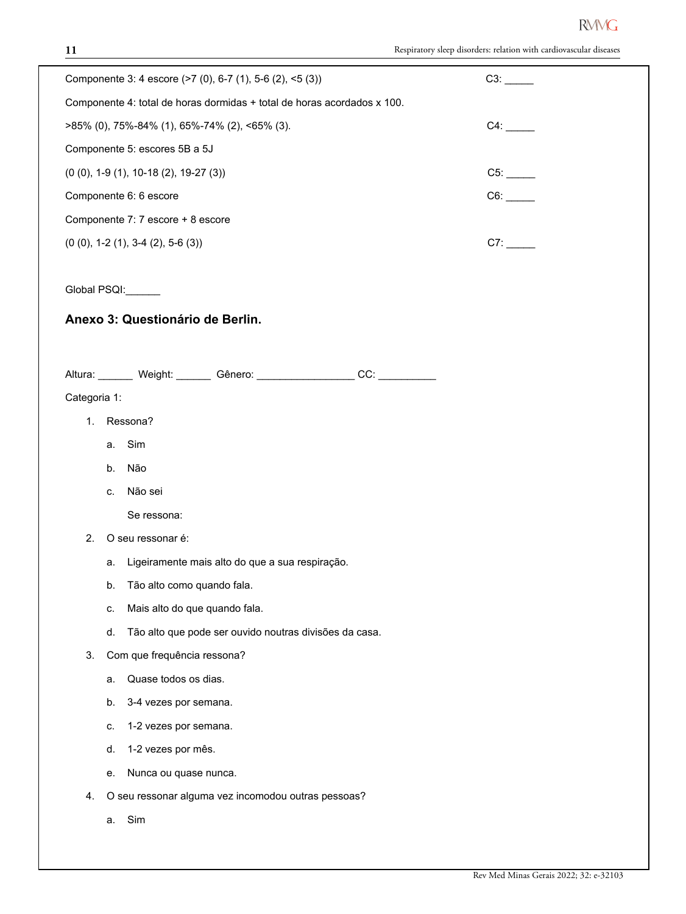| Componente 3: 4 escore (>7 (0), 6-7 (1), 5-6 (2), <5 (3))                  | C3: |
|----------------------------------------------------------------------------|-----|
| Componente 4: total de horas dormidas + total de horas acordados x 100.    |     |
| >85% (0), 75%-84% (1), 65%-74% (2), <65% (3).                              | C4: |
| Componente 5: escores 5B a 5J                                              |     |
| $(0 (0), 1-9 (1), 10-18 (2), 19-27 (3))$                                   | C5: |
| Componente 6: 6 escore                                                     | C6: |
| Componente 7: 7 escore + 8 escore                                          |     |
| $(0 (0), 1-2 (1), 3-4 (2), 5-6 (3))$                                       | C7: |
|                                                                            |     |
| Global PSQI: ______                                                        |     |
| Anexo 3: Questionário de Berlin.                                           |     |
|                                                                            |     |
|                                                                            |     |
| Altura: _______ Weight: _______ Gênero: ___________________CC: ___________ |     |
| Categoria 1:                                                               |     |
| Ressona?<br>1.                                                             |     |
| Sim<br>a.                                                                  |     |
| Não<br>b.                                                                  |     |
| Não sei<br>C.                                                              |     |
| Se ressona:                                                                |     |
| O seu ressonar é:<br>2.                                                    |     |
| Ligeiramente mais alto do que a sua respiração.<br>a.                      |     |
| Tão alto como quando fala.<br>b.                                           |     |
| Mais alto do que quando fala.<br>c.                                        |     |
| Tão alto que pode ser ouvido noutras divisões da casa.<br>d.               |     |
| 3.<br>Com que frequência ressona?                                          |     |
| Quase todos os dias.<br>a.                                                 |     |
| 3-4 vezes por semana.<br>b.                                                |     |
| 1-2 vezes por semana.<br>C.                                                |     |
| 1-2 vezes por mês.<br>d.                                                   |     |
| Nunca ou quase nunca.<br>е.                                                |     |
| O seu ressonar alguma vez incomodou outras pessoas?<br>4.                  |     |
| Sim<br>a.                                                                  |     |
|                                                                            |     |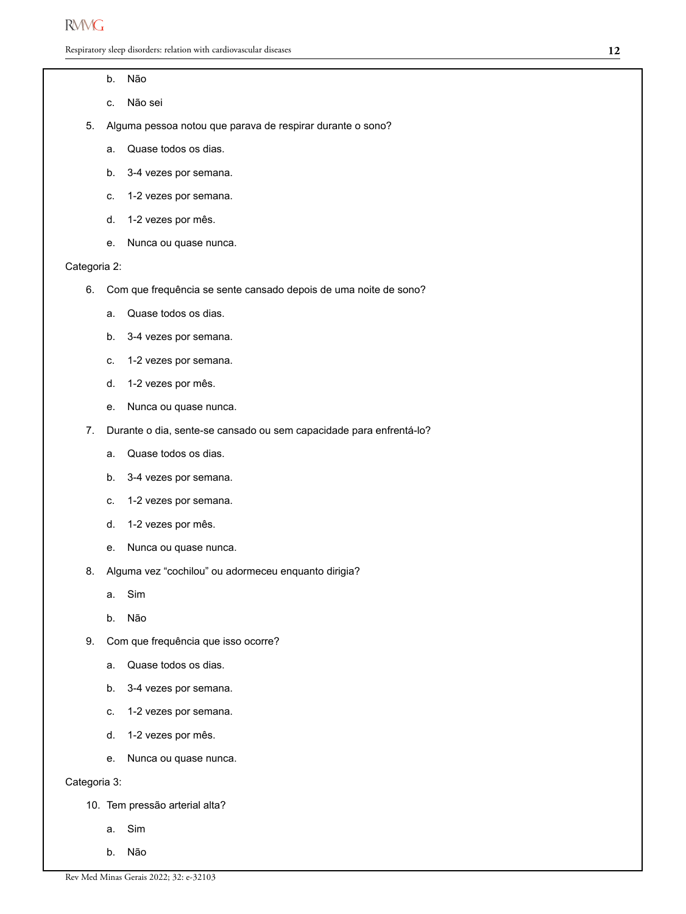Respiratory sleep disorders: relation with cardiovascular diseases

#### b. Não

- c. Não sei
- 5. Alguma pessoa notou que parava de respirar durante o sono?
	- a. Quase todos os dias.
	- b. 3-4 vezes por semana.
	- c. 1-2 vezes por semana.
	- d. 1-2 vezes por mês.
	- e. Nunca ou quase nunca.

#### Categoria 2:

- 6. Com que frequência se sente cansado depois de uma noite de sono?
	- a. Quase todos os dias.
	- b. 3-4 vezes por semana.
	- c. 1-2 vezes por semana.
	- d. 1-2 vezes por mês.
	- e. Nunca ou quase nunca.
- 7. Durante o dia, sente-se cansado ou sem capacidade para enfrentá-lo?
	- a. Quase todos os dias.
	- b. 3-4 vezes por semana.
	- c. 1-2 vezes por semana.
	- d. 1-2 vezes por mês.
	- e. Nunca ou quase nunca.
- 8. Alguma vez "cochilou" ou adormeceu enquanto dirigia?
	- a. Sim
	- b. Não
- 9. Com que frequência que isso ocorre?
	- a. Quase todos os dias.
	- b. 3-4 vezes por semana.
	- c. 1-2 vezes por semana.
	- d. 1-2 vezes por mês.
	- e. Nunca ou quase nunca.

Categoria 3:

- 10. Tem pressão arterial alta?
	- a. Sim
	- b. Não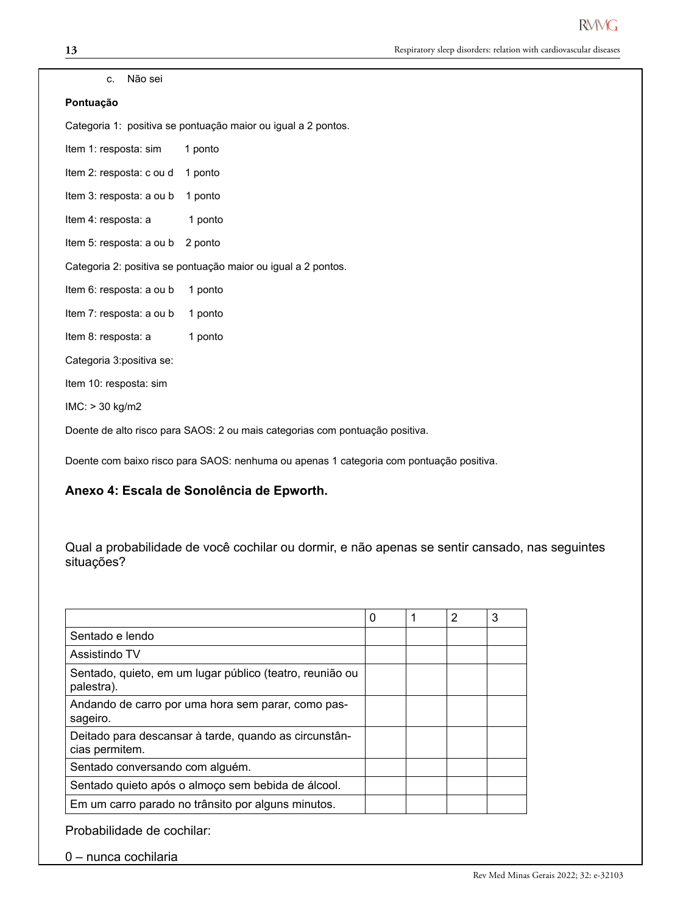#### c. Não sei

#### **Pontuação**

Categoria 1: positiva se pontuação maior ou igual a 2 pontos.

| ltem 1: resposta: sim            | 1 ponto                                                                      |
|----------------------------------|------------------------------------------------------------------------------|
| Item 2: resposta: c ou d         | 1 ponto                                                                      |
| Item 3: resposta: a ou b         | 1 ponto                                                                      |
| Item 4: resposta: a              | 1 ponto                                                                      |
| Item 5: resposta: a ou b 2 ponto |                                                                              |
|                                  | Categoria 2: positiva se pontuação maior ou igual a 2 pontos.                |
| Item 6: resposta: a ou b         | 1 ponto                                                                      |
| Item 7: resposta: a ou b         | 1 ponto                                                                      |
| Item 8: resposta: a              | 1 ponto                                                                      |
| Categoria 3: positiva se:        |                                                                              |
| Item 10: resposta: sim           |                                                                              |
| $IMC:$ > 30 kg/m2                |                                                                              |
|                                  | Doente de alto risco para SAOS: 2 ou mais categorias com pontuação positiva. |

Doente com baixo risco para SAOS: nenhuma ou apenas 1 categoria com pontuação positiva.

#### **Anexo 4: Escala de Sonolência de Epworth.**

Qual a probabilidade de você cochilar ou dormir, e não apenas se sentir cansado, nas seguintes situações?

|                                                                         | 0 | 1 | 2 | 3 |
|-------------------------------------------------------------------------|---|---|---|---|
| Sentado e lendo                                                         |   |   |   |   |
| Assistindo TV                                                           |   |   |   |   |
| Sentado, quieto, em um lugar público (teatro, reunião ou<br>palestra).  |   |   |   |   |
| Andando de carro por uma hora sem parar, como pas-<br>sageiro.          |   |   |   |   |
| Deitado para descansar à tarde, quando as circunstân-<br>cias permitem. |   |   |   |   |
| Sentado conversando com alguém.                                         |   |   |   |   |
| Sentado quieto após o almoço sem bebida de álcool.                      |   |   |   |   |
| Em um carro parado no trânsito por alguns minutos.                      |   |   |   |   |

Probabilidade de cochilar:

0 – nunca cochilaria